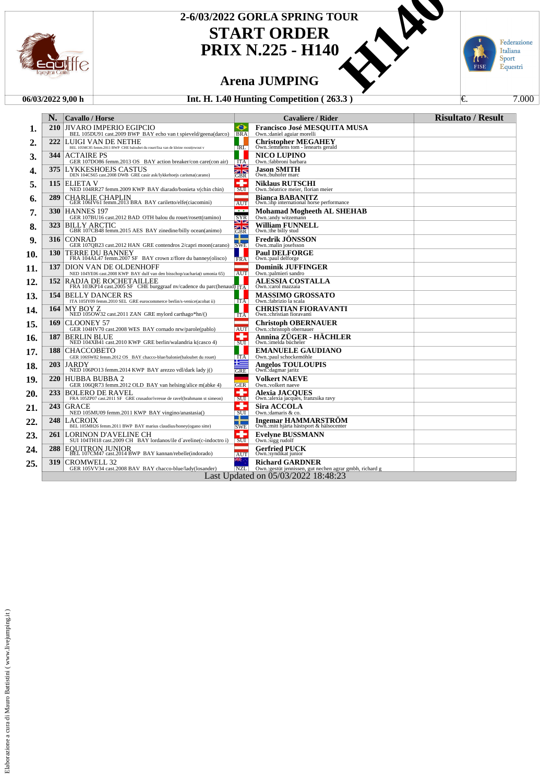

### **START ORDER PRIX N.225 - H140** 2-6/03/2022 GORLA SPRING TOUR<br>
START ORDER<br>
PRIX N.225

### **Arena JUMPING**

### **06/03/2022 9,00 h Int. H. 1.40 Hunting Competition ( 263.3 )** ↓ <del>€</del>. 7.000



|     | N.                                  | <b>Cavallo / Horse</b>                                                                                 |                                                 | <b>Cavaliere / Rider</b>                                                           | <b>Risultato / Result</b> |  |
|-----|-------------------------------------|--------------------------------------------------------------------------------------------------------|-------------------------------------------------|------------------------------------------------------------------------------------|---------------------------|--|
| 1.  | <b>210</b>                          | <b>JIVARO IMPERIO EGIPCIO</b><br>BEL 105DU91 cast.2009 BWP BAY echo van t spieveld/geena(darco)        | Θ<br><b>BRA</b>                                 | <b>Francisco José MESOUITA MUSA</b><br>Own.:daniel aguiar morelli                  |                           |  |
| 2.  | 222                                 | LUIGI VAN DE NETHE<br>BEL 105MC85 femm.2011 BWP CHE baloubet du rouet/lisa van de kleine roost(ewout v | <b>IRL</b>                                      | <b>Christopher MEGAHEY</b><br>Own.: lemmens tom - lenearts gerald                  |                           |  |
| 3.  | 344                                 | <b>ACTAIRE PS</b><br>GER 107DO86 femm.2013 OS BAY action breaker/con care(con air)                     | <b>ITA</b>                                      | <b>NICO LUPINO</b><br>Own.:fabbroni barbara                                        |                           |  |
| 4.  | 375                                 | <b>LYKKESHOEJS CASTUS</b><br>DEN 104CS65 cast.2008 DWB GRE casir ask/lykkehoejs carisma(carano)        | SI Z<br>GBR                                     | Jason SMITH<br>Own.:buhofer marc                                                   |                           |  |
| 5.  | 115                                 | ELIETA V<br>NED 104RR27 femm.2009 KWP BAY diarado/bonieta v(chin chin)                                 | ÷<br>SUI                                        | <b>Niklaus RUTSCHI</b><br>Own.: béatrice meier, florian meier                      |                           |  |
| 6.  | 289                                 | CHARLIE CHAPLIN<br>GER 106IV61 femm.2013 BRA BAY cariletto/elfe(ciacomini)                             | AUT                                             | <b>Bianca BABANITZ</b><br>Own.:ihp international horse performance                 |                           |  |
| 7.  | <b>330</b>                          | <b>HANNES 197</b><br>GER 107BU16 cast.2012 BAD OTH balou du rouet/rosett(ramino)                       | $\overline{1}$<br>$\frac{\text{SYR}}{\text{N}}$ | <b>Mohamad Mogheeth AL SHEHAB</b><br>Own.:andy witzemann                           |                           |  |
| 8.  | 323                                 | <b>BILLY ARCTIC</b><br>GBR 107CB48 femm.2015 AES BAY zinedine/billy ocean(animo)                       | GBR                                             | William FUNNELL<br>Own.:the billy stud                                             |                           |  |
| 9.  | 316                                 | <b>CONRAD</b><br>GER 107QB23 cast.2012 HAN GRE contendros 2/capri moon(carano)                         | т<br> SWE                                       | <b>Fredrik JONSSON</b><br>Own.:malin josefsson                                     |                           |  |
| 10. | 130                                 | TERRE DU BANNEY<br>FRA 104AL47 femm.2007 SF BAY crown z/flore du banney(olisco)                        | H.<br><b>FRA</b>                                | <b>Paul DELFORGE</b><br>Own.:paul delforge                                         |                           |  |
| 11. | 137                                 | DION VAN DE OLDENHOFF<br>NED 104YE06 cast.2008 KWP BAY dulf van den bisschop/zacharia(t umonia 65)     | <b>AUT</b>                                      | <b>Dominik JUFFINGER</b><br>Own.:palmieri sandro                                   |                           |  |
| 12. | 152                                 | RADJA DE ROCHETAILLEE<br>FRA 103KP14 cast.2005 SF CHE burggraaf nv/cadence du parc(henaud) ITA         |                                                 | <b>ALESSIA COSTALLA</b><br>Own.:carol mazzaia                                      |                           |  |
| 13. | 154                                 | <b>BELLY DANCER RS</b><br>ITA 105IY09 femm.2010 SEL GRE eurocommerce berlin/s-venice(acobat ii)        | ITA                                             | <b>MASSIMO GROSSATO</b><br>Own.:fabrizio la scala                                  |                           |  |
| 14. | 164                                 | MY BOY Z<br>NED 105OW32 cast.2011 ZAN GRE mylord carthago*hn/()                                        | <b>ITA</b>                                      | <b>CHRISTIAN FIORAVANTI</b><br>Own.:christian fioravanti                           |                           |  |
| 15. | 169                                 | CLOONEY 57<br>GER 104HV70 cast.2008 WES BAY cornado nrw/parole(pablo)                                  | <b>AUT</b>                                      | <b>Christoph OBERNAUER</b><br>Own.:christoph obernauer                             |                           |  |
| 16. | 187                                 | <b>BERLIN BLUE</b><br>NED 104XB41 cast.2010 KWP GRE berlin/walandria k(casco 4)                        | ۰<br><b>SUI</b>                                 | Annina ZÜGER - HÄCHLER<br>Own.:imelda bücheler                                     |                           |  |
| 17. | 188                                 | <b>CHACCOBETO</b><br>GER 106SW82 femm.2012 OS BAY chacco-blue/balonie(baloubet du rouet)               | <b>ITA</b>                                      | <b>EMANUELE GAUDIANO</b><br>Own.:paul schockemöhle                                 |                           |  |
| 18. | 203                                 | JARDY<br>NED 106PO13 femm.2014 KWP BAY arezzo vdl/dark lady j()                                        | <u> +=</u><br><b>GRE</b>                        | <b>Angelos TOULOUPIS</b><br>Own.dagmar jaritz                                      |                           |  |
| 19. | <b>220</b>                          | <b>HUBBA BUBBA 2</b><br>GER 106QR73 femm.2012 OLD BAY van helsing/alice m(abke 4)                      | <b>GER</b>                                      | <b>Volkert NAEVE</b><br>Own.:volkert naeve                                         |                           |  |
| 20. | 233                                 | <b>BOLERO DE RAVEL</b><br>FRA 105ZP07 cast.2011 SF GRE crusador/ivresse de ravel(brahmann st simeon)   | ۰<br><b>SUI</b>                                 | <b>Alexia JACOUES</b><br>Own.: alexia jacques, franzsika ravy                      |                           |  |
| 21. | 243                                 | <b>GRACE</b><br>NED 105MU09 femm.2011 KWP BAY vingino/anastasia()                                      | ۰<br><b>SUI</b>                                 | <b>Sira ACCOLA</b><br>Own.: damaris & co.                                          |                           |  |
| 22. | 248                                 | LACROIX<br>BEL 105MH26 femm.2011 BWP BAY marius claudius/honey(ogano sitte)                            | т.<br><b>SWE</b>                                | <b>Ingemar HAMMARSTROM</b><br>Own.:mitt hjärta hästsport & hälsocenter             |                           |  |
| 23. | 261                                 | LORINON D'AVELINE CH<br>SUI 104TH18 cast.2009 CH BAY lordanos/ile d'aveline(c-indoctro i)              | ۰<br>SUI                                        | <b>Evelyne BUSSMANN</b><br>Own.:sigg rudolf                                        |                           |  |
| 24. | 288                                 | <b>EQUITRON JUNIOR</b><br>BEL 107CM47 cast.2014 BWP BAY kannan/rebelle(indorado)                       | AUT                                             | <b>Gerfried PUCK</b><br>Own.:syndikat junior                                       |                           |  |
| 25. | 319                                 | <b>CROMWELL 32</b><br>GER 105VV34 cast.2008 BAV BAY chacco-blue/lady(losander)                         | <b>NZL</b>                                      | <b>Richard GARDNER</b><br>Own.: gestüt jennissen, gut nechen agrar gmbh, richard g |                           |  |
|     | Last Updated on 05/03/2022 18:48:23 |                                                                                                        |                                                 |                                                                                    |                           |  |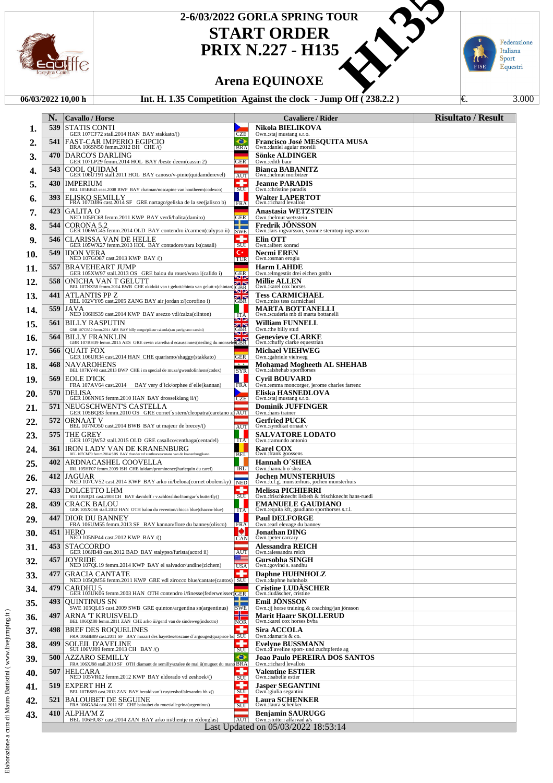

# **START ORDER** 2-6/03/2022 GORLA SPRING TOUR<br>
START ORDER<br>
PRIX N.227 - H135<br>
Arena EQUINOXE<br>
5 Competition Against the clock - Jump Off (238.2.2)

**PRIX N.227 - H135**

### **Arena EQUINOXE**

### **06/03/2022 10,00 h Int. H. 1.35 Competition Against the clock - Jump Off (238.2.2)** €. 3.000

Federazione Italiana<br>Sport<br>Equestri FISE

|     | N.         | <b>Cavallo / Horse</b>                                                                                                                                                                                                  |                                 | <b>Cavaliere / Rider</b>                                                        | <b>Risultato / Result</b> |
|-----|------------|-------------------------------------------------------------------------------------------------------------------------------------------------------------------------------------------------------------------------|---------------------------------|---------------------------------------------------------------------------------|---------------------------|
| 1.  | 539        | <b>STATIS CONTI</b><br>GER 107CF72 stall.2014 HAN BAY stakkato/()                                                                                                                                                       | <b>CZE</b>                      | Nikola BIELIKOVA<br>Own.:staj mustang s.r.o.                                    |                           |
| 2.  | 541        | FAST-CAR IMPERIO EGIPCIO<br>BRA 106SN50 femm.2012 BH CHE/()                                                                                                                                                             | ⊖<br><b>BRA</b>                 | <b>Francisco José MESQUITA MUSA</b><br>Own.: daniel aguiar morelli              |                           |
| 3.  | 470        | DARCO'S DARLING<br>GER 107LP29 femm.2014 HOL BAY /beste deern(cassin 2)                                                                                                                                                 | <b>GER</b>                      | <b>Sönke ALDINGER</b><br>Own.:edith baur                                        |                           |
| 4.  | 543        | <b>COOL OUIDAM</b><br>GER 106UT91 stall.2011 HOL BAY canoso/v-pinie(quidamderevel)                                                                                                                                      | <b>AUT</b>                      | <b>Bianca BABANITZ</b><br>Own.:helmut morbitzer                                 |                           |
| 5.  | 430        | <b>IMPERIUM</b><br>BEL 105BB43 cast.2008 BWP BAY chatman/noscapine van houtheem(codexco)                                                                                                                                | SUI                             | <b>Jeanne PARADIS</b><br>Own.:christine paradis                                 |                           |
| 6.  | <b>393</b> | <b>ELISKO SEMILLY</b><br>FRA 107DJ86 cast.2014 SF GRE nartago/geliska de la see(jalisco b)                                                                                                                              | н<br>FRA                        | <b>Walter LAPERTOT</b><br>Own.:richard levallois                                |                           |
| 7.  | 423        | GALITA O<br>NED 105FC68 femm.2011 KWP BAY verdi/halita(damiro)                                                                                                                                                          | <b>GER</b>                      | Anastasia WETZSTEIN<br>Own.:helmut wetzstein                                    |                           |
| 8.  | 544        | CORONA 5.2<br>GER 106WG45 femm.2014 OLD BAY contendro i/carmen(calypso ii)                                                                                                                                              | 10<br><b>SWE</b>                | <b>Fredrik JONSSON</b><br>Own.:lars ingvarsson, yvonne sterntorp ingvarsson     |                           |
| 9.  | 546        | CLARISSA VAN DE HELLE<br>GER 105WX27 femm.2013 HOL BAY contadoro/zara ix(casall)                                                                                                                                        | 4<br>SUI                        | Elin OTT<br>Own.:albert konrad                                                  |                           |
| 10. | 549        | <b>IDON VERA</b><br>NED 107GO87 cast.2013 KWP BAY/()                                                                                                                                                                    | €∗<br><b>TUR</b>                | Necmi EREN<br>Own.:osman eroglu                                                 |                           |
| 11. | 557        | <b>BRAVEHEART JUMP</b><br>GER 105XW97 stall.2013 OS GRE balou du rouet/wasa i(calido i)                                                                                                                                 |                                 | <b>Harm LAHDE</b><br>Own.: elmgestüt drei eichen gmbh                           |                           |
| 12. | 558        | ONICHA VAN T GELUTT<br>BEL 107NX58 femm.2014 BWB CHE okidoki van t gelutt/chinta van gelutt z(chintan) GBR                                                                                                              | <b>GER</b><br>ØN                | <b>Millie ALLEN</b><br>Own.:karel cox horses                                    |                           |
| 13. | 441        | ATLANTIS PP Z<br>BEL 102VY05 cast.2005 ZANG BAY air jordan z/(corofino i)                                                                                                                                               | <u>sile</u><br>不下<br><b>GBR</b> | <b>Tess CARMICHAEL</b><br>Own.: miss tess carmichael                            |                           |
| 14. | 559        | JAVA<br>NED 106HS39 cast.2014 KWP BAY arezzo vdl/zalza(clinton)                                                                                                                                                         |                                 | MARTA BOTTANELLI<br>Own.:scuderia mb di marta bottanelli                        |                           |
| 15. | 561        | <b>BILLY RASPUTIN</b>                                                                                                                                                                                                   | $\frac{1}{2}$<br>不下<br>GBR      | <b>William FUNNELL</b><br>Own.:the billy stud                                   |                           |
| 16. | 564        | GBR 107CB52 femm.2014 AES BAY billy congo/pikeur calanda(san patrignano cassini)<br><b>BILLY FRANKLIN</b><br><b>SILLY FRANKLIN</b><br>GBR 107BH39 femm.2015 AES GRE cevin z/aretha d ecaussinnes(riesling du monseleGBR | <b>SIZ</b>                      | <b>Genevieve CLARKE</b><br>Own.:chuffy clarke equestrian                        |                           |
| 17. | 566        | <b>OUAIT FOX</b><br>GER 106UR34 cast.2014 HAN CHE quarismo/shaggy(stakkato)                                                                                                                                             | GER                             | <b>Michael VIEHWEG</b><br>Own.:gabriele viehweg                                 |                           |
| 18. | 468        | <b>NAVAROHENS</b><br>BEL 107KY40 cast.2013 BWP CHE i m special de muze/gwendolinhens(codex)                                                                                                                             | $+ +$<br><b>SYR</b>             | Mohamad Mogheeth AL SHEHAB<br>Own.:alshehab sporthorses                         |                           |
| 19. | 569        | EOLE D'ICK<br>FRA 107AV64 cast.2014 BAY very d'ick/orphee d'elle(kannan)                                                                                                                                                | <b>FRA</b>                      | <b>Cyril BOUVARD</b><br>Own.:emma moncorger, jerome charles farrenc             |                           |
| 20. | 570        | DELISA<br>GER 106NN65 femm.2010 HAN BAY drosselklang ii/()                                                                                                                                                              | CZE                             | Eliska HASNEDLOVA<br>Own.:staj mustang s.r.o.                                   |                           |
| 21. | 571        | NEUGSCHWENT'S CASTELLA                                                                                                                                                                                                  |                                 | <b>Dominik JUFFINGER</b>                                                        |                           |
| 22. | 572        | GER 105BQ83 femm.2010 OS GRE cornet's stern/cleopatra(caretano z) AUT<br>ORNAAT V<br>BEL 107NO50 cast.2014 BWB BAY ut majeur de brecey/()                                                                               | <b>AUT</b>                      | Own.:hans trainer<br><b>Gerfried PUCK</b><br>Own.:syndikat ornaat v             |                           |
| 23. | 575        | THE GREY                                                                                                                                                                                                                |                                 | <b>SALVATORE LODATO</b>                                                         |                           |
| 24. | 361        | GER 107QW52 stall.2015 OLD GRE casallco/centhaga(centadel)<br><b>IRON LADY VAN DE KRANENBURG</b><br>BEL 107CM70 femm.2014 SBS BAY thunder vd zuuthoeve/canana van de kranenburg(kann                                    | ITA                             | Own.:ramundo antonio<br><b>Karel COX</b><br>Own.: frank goossens                |                           |
| 25. | 402        | ARDNACASHEL COOVELLA                                                                                                                                                                                                    | BEL<br><b>IRL</b>               | Hannah O'SHEA<br>Own.:hannah o'shea                                             |                           |
| 26. | 412        | IRL 105HF07 femm.2009 ISH CHE luidam/prominence(harlequin du carel)<br>JAGUAR<br>NED 107CV52 cast.2014 KWP BAY arko iii/belona(cornet obolensky) NED                                                                    |                                 | <b>Jochen MUNSTERHUIS</b><br>Own.:b.f.g. munsterhuis, jochen munsterhuis        |                           |
| 27. | 433        | DOLCETTO LHM                                                                                                                                                                                                            | 4,<br>SUI                       | <b>Melissa PICHIERRI</b><br>Own.:frischknecht lisbeth & frischknecht hans-ruedi |                           |
| 28. | 439        | SUI 105IQ31 cast.2008 CH BAY davidoff r v.schlösslihof/tomgar's butterfly()<br>CRACK BALOU<br>GER 105XC66 stall.2012 HAN OTH balou du reventon/chicca blue(chacco-blue)                                                 | ITA                             | <b>EMANUELE GAUDIANO</b><br>Own.: equita kft, gaudiano sporthorses s.r.l.       |                           |
| 29. | 447        | DIOR DU BANNEY<br>FRA 106UM55 femm.2013 SF BAY kannan/flore du banney(olisco)                                                                                                                                           |                                 | <b>Paul DELFORGE</b>                                                            |                           |
| 30. | 451        | <b>HERO</b><br>NED 105NP44 cast.2012 KWP BAY/()                                                                                                                                                                         | I FRAI<br>ы<br>CAN              | Own.:earl elevage du banney<br><b>Jonathan DING</b><br>Own.: peter carcary      |                           |
| 31. | 453        | <b>STACCORDO</b><br>GER 106JB48 cast.2012 BAD BAY stalypso/furista(acord ii)                                                                                                                                            | AUT                             | Alessandra REICH<br>Own.: alessandra reich                                      |                           |
| 32. | 457        | <b>JOYRIDE</b><br>NED 107QL19 femm.2014 KWP BAY el salvador/undine(zichem)                                                                                                                                              | ⊞<br><b>USA</b>                 | Gursobha SINGH<br>Own.:govind s. sandhu                                         |                           |
| 33. | 477        | GRACIA CANTATE<br>NED 105QM56 femm.2011 KWP GRE vdl zirocco blue/cantate(cantos) SUI                                                                                                                                    | ۰                               | <b>Daphne HUHNHOLZ</b><br>Own.:daphne huhnholz                                  |                           |
| 34. | 479        | CARDHU 5<br>GER 103UK06 femm.2003 HAN OTH contendro i/finesse(federweisser)GER                                                                                                                                          |                                 | <b>Cristine LUDÄSCHER</b><br>Own.:ludäscher, cristine                           |                           |
| 35. | 493        | <b>OUINTINUS SN</b><br>SWE 105QL65 cast.2009 SWB GRE quinton/argentina sn(argentinus)                                                                                                                                   | SWE                             | <b>Emil JONSSON</b><br>Own.:jj horse training & coaching/jan jönsson            |                           |
| 36. | 497        | ARNA 'T KRUISVELD<br>BEL 106QZ88 femm.2011 ZAN CHE arko iii/gentl van de sindeweg(indoctro)                                                                                                                             | <b>NOR</b>                      | <b>Marit Haarr SKOLLERUD</b><br>Own.:karel cox horses byba                      |                           |
| 37. | 498        | <b>BREF DES ROQUELINES</b><br>FRA 106BB89 cast.2011 SF BAY mozart des hayettes/toscane d'argouges(quaprice bo SUI                                                                                                       | 4                               | <b>Sira ACCOLA</b><br>Own.: damaris & co.                                       |                           |
| 38. | 499        | <b>SOLEIL D'AVELINE</b><br>SUI 106VJ09 femm.2013 CH BAY/()                                                                                                                                                              | ÷<br>SUI                        | Evelyne BUSSMANN<br>Own.:d'aveline sport- und zuchtpferde ag                    |                           |
| 39. | 500        | <b>AZZARO SEMILLY</b><br>FRA 106XJ98 stall.2010 SF OTH diamant de semilly/azalee de mai ii(muguet du mano BRA                                                                                                           | ⊖                               | Joao Paulo PEREIRA DOS SANTOS<br>Own.:richard levallois                         |                           |
| 40. | 507        | <b>HELCARA</b><br>NED 105VR02 femm.2012 KWP BAY eldorado vd zeshoek/()                                                                                                                                                  | ÷<br>SUI                        | <b>Valentine ESTIER</b><br>Own.:isabelle estier                                 |                           |
| 41. | 519        | EXPERT HH Z<br>BEL 107BS89 cast.2013 ZAN BAY herald van't ruytershof/alexandra hh z()                                                                                                                                   | 4<br>SUI                        | <b>Jasper SEGANTINI</b><br>Own.:giulia segantini                                |                           |
| 42. | 521        | <b>BALOUBET DE SEGUINE</b><br>FRA 106GA84 cast.2011 SF CHE baloubet du rouet/allegrina(argentinus)                                                                                                                      | ÷<br>SUI                        | <b>Laura SCHENKER</b><br>Own.:laura schenker                                    |                           |
| 43. | 410        | ALPHA'M Z<br>BEL 106HU87 cast.2014 ZAN BAY arko iii/dientje m z(douglas)                                                                                                                                                | <b>AUT</b>                      | Benjamin SAURUGG<br>Own.:stutteri alfarvad a/s                                  |                           |
|     |            |                                                                                                                                                                                                                         |                                 | Last Updated on 05/03/2022 18:53:14                                             |                           |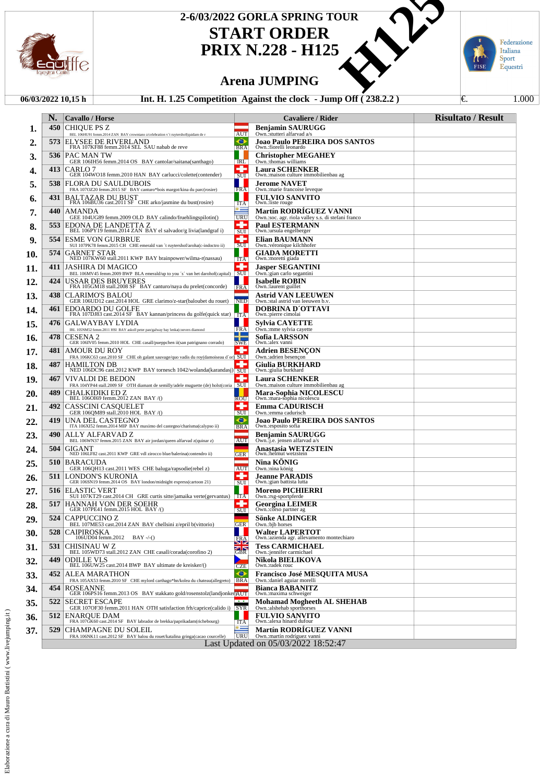

## **START ORDER PRIX N.228 - H125** 2-6/03/2022 GORLA SPRING TOUR<br>
START ORDER<br>
PRIX N.228 - H125<br>
Arena JUMPING<br>
5 Competition Against the clock - Jump Off (238.2.2)

Federazione Italiana

Sport<br>Equestri

FISE

### **Arena JUMPING**

#### **06/03/2022 10,15 h Int. H. 1.25 Competition Against the clock - Jump Off (238.2.2)** €. 1.000

|     | N.  | <b>Cavallo</b> / Horse                                                                                 |                                      | Cavaliere / Rider                                                                   | <b>Risultato / Result</b> |
|-----|-----|--------------------------------------------------------------------------------------------------------|--------------------------------------|-------------------------------------------------------------------------------------|---------------------------|
| ı.  | 450 | CHIQUE PS Z<br>BEL 106HU91 femm.2014 ZAN BAY crowntano z/celebration v't ruytershof(quidam de r        | <b>AUT</b>                           | <b>Benjamin SAURUGG</b><br>Own.:stutteri alfarvad a/s                               |                           |
| 2.  | 573 | ELYSEE DE RIVERLAND<br>FRA 107KF88 femm.2014 SEL SAU nabab de reve                                     | ⊖<br><b>BRA</b>                      | Joao Paulo PEREIRA DOS SANTOS<br>Own.:fiorelli leonardo                             |                           |
| 3.  |     | <b>536   PAC MAN TW</b><br>GER 106IH56 femm.2014 OS BAY cantolar/saitana(santhago)                     | IRL                                  | <b>Christopher MEGAHEY</b><br>Own.:thomas williams                                  |                           |
| 4.  | 413 | CARLO 7<br>GER 104WO18 femm.2010 HAN BAY carlucci/colette(contender)                                   | ۰<br>SUI                             | <b>Laura SCHENKER</b><br>Own.: maison culture immobilienbau ag                      |                           |
| 5.  | 538 | FLORA DU SAULDUBOIS<br>FRA 107OZ20 femm.2015 SF BAY canturo*bois margot/kina du parc(rosire)           | FRA                                  | <b>Jerome NAVET</b><br>Own.: marie francoise leveque                                |                           |
| 6.  | 431 | <b>BALTAZAR DU BUST</b><br>FRA 106BU36 cast.2011 SF CHE arko/jasmine du bust(rosire)                   | <b>ITA</b>                           | <b>FULVIO SANVITO</b><br>Own.:liste rouge                                           |                           |
| 7.  | 440 | AMANDA<br>GEE 104UG89 femm.2009 OLD BAY calindo/fruehlingspilotin()                                    | 92<br><b>URU</b>                     | <b>Martín RODRIGUEZ VANNI</b><br>Own.:soc. agr. riola valley s.s. di stefani franco |                           |
| 8.  |     | <b>553 EDONA DE LANDETTA Z</b><br>BEL 106PY19 femm.2014 ZAN BAY el salvador/g livia(landgraf i)        | ۰<br>SUI                             | <b>Paul ESTERMANN</b><br>Own.:ursula engelberger                                    |                           |
| 9.  | 554 | <b>ESME VON GURBRUE</b><br>SUI 107PK78 femm.2015 CH CHE emerald van 't ruytershof/aroha(c-indoctro ii) | ۰<br>SUI                             | <b>Elian BAUMANN</b><br>Own.: véronique kilchhofer                                  |                           |
| 10. | 574 | <b>GARNET STAR</b><br>NED 107KW60 stall.2011 KWP BAY brainpower/wilma-r(nassau)                        | ITA                                  | <b>GIADA MORETTI</b><br>Own.:moretti giada                                          |                           |
| 11. | 411 | JASHIRA DI MAGICO<br>BEL 106MV45 femm.2009 BWP BLA emerald/up to you 's' van het darohof(capital)      | ۰<br>SUI                             | <b>Jasper SEGANTINI</b><br>Own.:gian carlo segantini                                |                           |
| 12. | 424 | USSAR DES BRUYERES<br>FRA 105GM18 stall.2008 SF BAY canturo/naya du prelet(concorde)                   | FRA                                  | <b>Isabelle ROBIN</b><br>Own.:laurent guillet                                       |                           |
| 13. | 438 | CLARIMO'S BALOU<br>GER 106UD12 cast.2014 HOL GRE clarimo/z-star(baloubet du rouet)                     | <b>NED</b>                           | Astrid VAN LEEUWEN<br>Own.:stal astrid van leeuwen b.v                              |                           |
| 14. | 461 | <b>EDOARDO DU GOLFE</b><br>FRA 107DJ83 cast.2014 SF BAY kannan/princess du golfe(quick star) TTA       |                                      | DOBRINA D'OTTAVI<br>Own.:pierre cimolai                                             |                           |
| 15. | 476 | GALWAYBAY LYDIA<br>IRL 105NM52 femm.2011 HSI BAY askoll peter pan/galway bay lenka(coevers diamond     | <b>FRA</b>                           | <b>Sylvia CAYETTE</b><br>Own.:mme sylvia cayette                                    |                           |
| 16. | 478 | CESENA 2<br>GER 106IV05 femm.2010 HOL CHE casall/pueppchen ii(san patrignano corrado)                  | --<br><b>SWE</b>                     | Sofia LARSSON<br>Own.:alex vanni                                                    |                           |
| 17. | 481 | AMOUR DU ROY<br>FRA 106KC63 cast.2010 SF CHE oh galant sauvage/quo vadis du roy(damoiseau d'or) SUI    | ۰                                    | Adrien BESENCON<br>Own.:adrien besencon                                             |                           |
| 18. | 487 | <b>HAMILTON DB</b><br>NED 106DC96 cast.2012 KWP BAY tornesch 1042/wolanda(karandasj) SUI               |                                      | <b>Giulia BURKHARD</b><br>Own.:giulia burkhard                                      |                           |
| 19. | 467 | VIVALDI DE BEDON<br>FRA 104YP44 stall.2009 SF OTH diamant de semilly/adele muguette (de) holst(coria   | ۰<br> SUI                            | <b>Laura SCHENKER</b><br>Own.: maison culture immobilienbau ag                      |                           |
| 20. | 489 | CHALKIDIKI ED Z<br>BEL 106OI69 femm.2012 ZAN BAY /()                                                   | <b>ROU</b>                           | Mara-Sophia NICOLESCU<br>Own.:mara-sophia nicolescu                                 |                           |
| 21. | 492 | CASSCINI CASOUELET<br>GER 106QM89 stall.2010 HOL BAY /()                                               | ۰<br>SUI                             | <b>Emma CADURISCH</b><br>Own.:emma cadurisch                                        |                           |
| 22. | 419 | UNA DEL CASTEGNO<br>ITA 106XI52 femm.2014 MIP BAY maximo del castegno/charisma(calypso ii)             | $\bullet$<br><b>BRA</b>              | Joao Paulo PEREIRA DOS SANTOS<br>Own.:esposito sofia                                |                           |
| 23. | 490 | ALLY ALFARVAD Z<br>BEL 106WN37 femm.2015 ZAN BAY air jordan/queen alfarvad z(quinar z)                 | <b>AUT</b>                           | <b>Benjamin SAURUGG</b><br>Own.:j.e. jensen alfarvad a/s                            |                           |
| 24. | 504 | GIGANT<br>NED 106LF82 cast.2011 KWP GRE vdl zirocco blue/balerina(contendro ii)                        | GER                                  | Anastasia WETZSTEIN<br>Own.:helmut wetzstein                                        |                           |
| 25. | 510 | <b>BARACUDA</b><br>GER 106QH13 cast.2011 WES CHE baluga/rapsodie(rebel z)                              | <b>AUT</b>                           | Nina KONIG<br>Own.:nina könig                                                       |                           |
| 26. | 511 | LONDON'S KURONIA<br>GER 106SN19 femm.2014 OS BAY london/midnight express(cartoon 21)                   | ۰<br>SUI                             | Jeanne PARADIS<br>Own.:gian battista lutta                                          |                           |
| 27. | 516 | <b>ELASTIC VERT</b><br>SUI 107KT29 cast.2014 CH GRE curtis sitte/jamaika verte(gervantus)   ITA        |                                      | <b>Moreno PICHIERRI</b><br>Own.:rsg-sportpferde                                     |                           |
| 28. | 517 | <b>HANNAH VON DER SOEHR</b><br>GER 107PE41 femm.2015 HOL BAY /()                                       | ۰<br>SUI                             | Georgina LEIMER<br>Own.:corso partner ag                                            |                           |
| 29. | 524 | CAPPUCCINO Z<br>BEL 107ME53 cast.2014 ZAN BAY chellsini z/epril b(vittorio)                            | GER                                  | Sönke ALDINGER<br>Own.:bjb horses                                                   |                           |
| 30. | 528 | CAIPIROSKA<br>106UD04 femm.2012<br>$BAY$ -/-()                                                         | $\frac{1}{\text{FRA}}$<br><b>SIZ</b> | <b>Walter LAPERTOT</b><br>Own.:azienda agr. allevamento montechiaro                 |                           |
| 31. | 531 | CHISINAU W Z<br>BEL 105WD73 stall.2012 ZAN CHE casall/corada(corofino 2)                               | 不下<br><b>GBR</b>                     | <b>Tess CARMICHAEL</b><br>Own.:jennifer carmichael                                  |                           |
| 32. | 449 | ODILLE VLS<br>BEL 106UW25 cast.2014 BWP BAY ultimate de kreisker/()                                    | <b>CZE</b>                           | Nikola BIELIKOVA<br>Own.:radek rouc                                                 |                           |
| 33. | 452 | ALEA MARATHON<br>FRA 105AX53 femm.2010 SF CHE mylord carthago*hn/kolea du chateau(allegreto) BRA       | ⊖                                    | <b>Francisco José MESOUITA MUSA</b><br>Own.:daniel aguiar morelli                   |                           |
| 34. | 454 | <b>ROSEANNE</b><br>GER 106PS16 femm.2013 OS BAY stakkato gold/rosenstolz(landjonker)AUT                |                                      | <b>Bianca BABANITZ</b><br>Own.: maxima schweiger                                    |                           |
| 35. | 522 | <b>SECRET ESCAPE</b><br>GER 107OF30 femm.2011 HAN OTH satisfaction frh/caprice(calido i) SYR           | $\rightarrow$                        | <b>Mohamad Mogheeth AL SHEHAB</b><br>Own.:alshehab sporthorses                      |                           |
| 36. | 512 | <b>ENAROUE DAM</b><br>FRA 107GK60 cast.2014 SF BAY labrador de brekka/paprikadam(richebourg)           | ITA                                  | <b>FULVIO SANVITO</b><br>Own.: alexa hinard dufour                                  |                           |
| 37. | 529 | CHAMPAGNE DU SOLEIL<br>FRA 106NK11 cast.2012 SF BAY balou du rouet/katalina gringa(cacao courcelle)    | $\sim$<br><b>URU</b>                 | <b>Martín RODRÍGUEZ VANNI</b><br>Own.:martín rodríguez vanni                        |                           |
|     |     |                                                                                                        |                                      | Last Updated on 05/03/2022 18:52:47                                                 |                           |